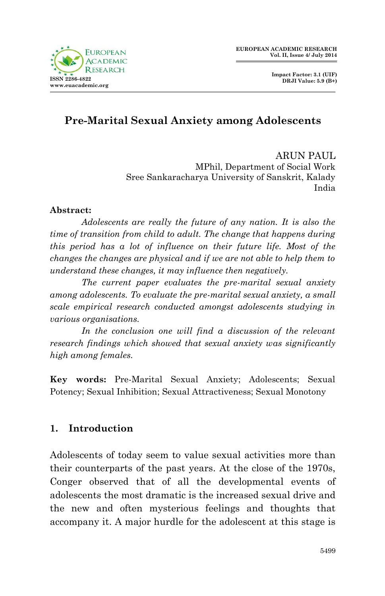

# **Pre-Marital Sexual Anxiety among Adolescents**

ARUN PAUL MPhil, Department of Social Work Sree Sankaracharya University of Sanskrit, Kalady India

#### **Abstract:**

*Adolescents are really the future of any nation. It is also the time of transition from child to adult. The change that happens during this period has a lot of influence on their future life. Most of the changes the changes are physical and if we are not able to help them to understand these changes, it may influence then negatively.*

*The current paper evaluates the pre-marital sexual anxiety among adolescents. To evaluate the pre-marital sexual anxiety, a small scale empirical research conducted amongst adolescents studying in various organisations.*

*In the conclusion one will find a discussion of the relevant research findings which showed that sexual anxiety was significantly high among females.*

**Key words:** Pre-Marital Sexual Anxiety; Adolescents; Sexual Potency; Sexual Inhibition; Sexual Attractiveness; Sexual Monotony

### **1. Introduction**

Adolescents of today seem to value sexual activities more than their counterparts of the past years. At the close of the 1970s, Conger observed that of all the developmental events of adolescents the most dramatic is the increased sexual drive and the new and often mysterious feelings and thoughts that accompany it. A major hurdle for the adolescent at this stage is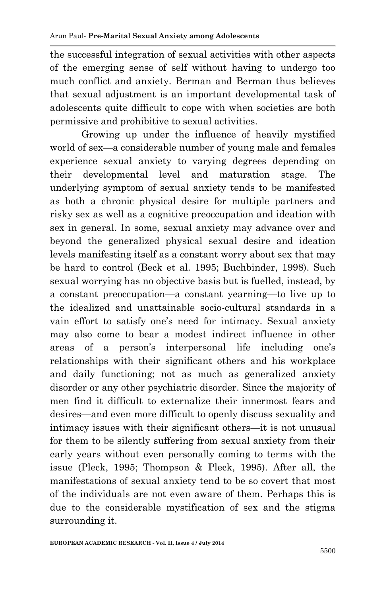the successful integration of sexual activities with other aspects of the emerging sense of self without having to undergo too much conflict and anxiety. Berman and Berman thus believes that sexual adjustment is an important developmental task of adolescents quite difficult to cope with when societies are both permissive and prohibitive to sexual activities.

Growing up under the influence of heavily mystified world of sex—a considerable number of young male and females experience sexual anxiety to varying degrees depending on their developmental level and maturation stage. The underlying symptom of sexual anxiety tends to be manifested as both a chronic physical desire for multiple partners and risky sex as well as a cognitive preoccupation and ideation with sex in general. In some, sexual anxiety may advance over and beyond the generalized physical sexual desire and ideation levels manifesting itself as a constant worry about sex that may be hard to control (Beck et al. 1995; Buchbinder, 1998). Such sexual worrying has no objective basis but is fuelled, instead, by a constant preoccupation—a constant yearning—to live up to the idealized and unattainable socio-cultural standards in a vain effort to satisfy one's need for intimacy. Sexual anxiety may also come to bear a modest indirect influence in other areas of a person's interpersonal life including one's relationships with their significant others and his workplace and daily functioning; not as much as generalized anxiety disorder or any other psychiatric disorder. Since the majority of men find it difficult to externalize their innermost fears and desires—and even more difficult to openly discuss sexuality and intimacy issues with their significant others—it is not unusual for them to be silently suffering from sexual anxiety from their early years without even personally coming to terms with the issue (Pleck, 1995; Thompson & Pleck, 1995). After all, the manifestations of sexual anxiety tend to be so covert that most of the individuals are not even aware of them. Perhaps this is due to the considerable mystification of sex and the stigma surrounding it.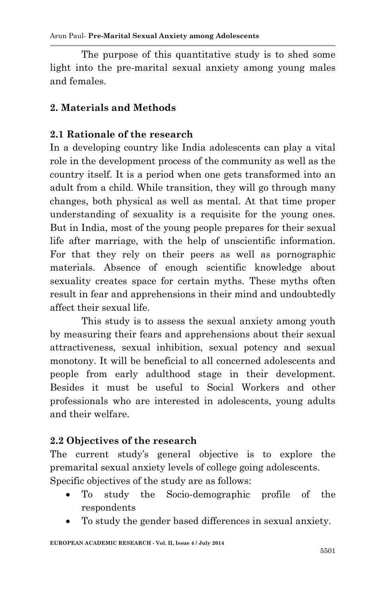The purpose of this quantitative study is to shed some light into the pre-marital sexual anxiety among young males and females.

### **2. Materials and Methods**

### **2.1 Rationale of the research**

In a developing country like India adolescents can play a vital role in the development process of the community as well as the country itself. It is a period when one gets transformed into an adult from a child. While transition, they will go through many changes, both physical as well as mental. At that time proper understanding of sexuality is a requisite for the young ones. But in India, most of the young people prepares for their sexual life after marriage, with the help of unscientific information. For that they rely on their peers as well as pornographic materials. Absence of enough scientific knowledge about sexuality creates space for certain myths. These myths often result in fear and apprehensions in their mind and undoubtedly affect their sexual life.

This study is to assess the sexual anxiety among youth by measuring their fears and apprehensions about their sexual attractiveness, sexual inhibition, sexual potency and sexual monotony. It will be beneficial to all concerned adolescents and people from early adulthood stage in their development. Besides it must be useful to Social Workers and other professionals who are interested in adolescents, young adults and their welfare.

### **2.2 Objectives of the research**

The current study's general objective is to explore the premarital sexual anxiety levels of college going adolescents.

- Specific objectives of the study are as follows:
	- To study the Socio-demographic profile of the respondents
	- To study the gender based differences in sexual anxiety.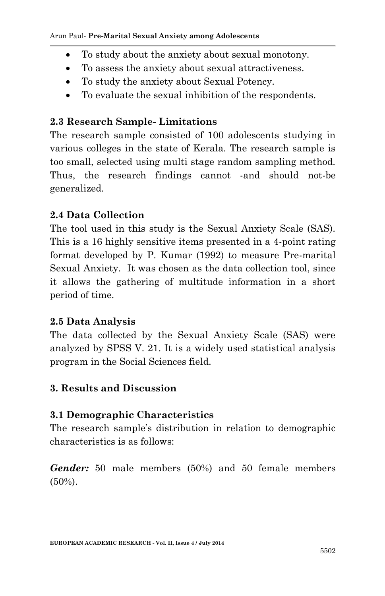- To study about the anxiety about sexual monotony.
- To assess the anxiety about sexual attractiveness.
- To study the anxiety about Sexual Potency.
- To evaluate the sexual inhibition of the respondents.

## **2.3 Research Sample- Limitations**

The research sample consisted of 100 adolescents studying in various colleges in the state of Kerala. The research sample is too small, selected using multi stage random sampling method. Thus, the research findings cannot -and should not-be generalized.

# **2.4 Data Collection**

The tool used in this study is the Sexual Anxiety Scale (SAS). This is a 16 highly sensitive items presented in a 4-point rating format developed by P. Kumar (1992) to measure Pre-marital Sexual Anxiety. It was chosen as the data collection tool, since it allows the gathering of multitude information in a short period of time.

## **2.5 Data Analysis**

The data collected by the Sexual Anxiety Scale (SAS) were analyzed by SPSS V. 21. It is a widely used statistical analysis program in the Social Sciences field.

## **3. Results and Discussion**

# **3.1 Demographic Characteristics**

The research sample's distribution in relation to demographic characteristics is as follows:

*Gender:* 50 male members (50%) and 50 female members (50%).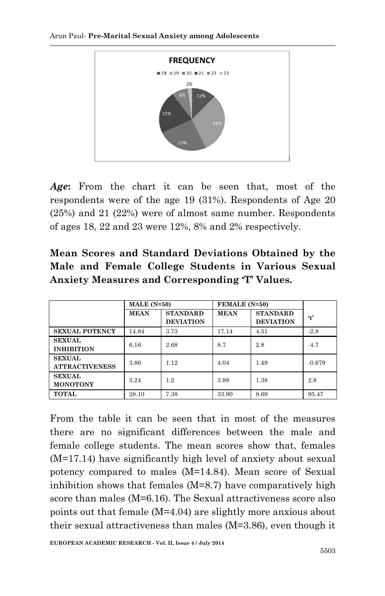

*Age***:** From the chart it can be seen that, most of the respondents were of the age 19 (31%). Respondents of Age 20 (25%) and 21 (22%) were of almost same number. Respondents of ages 18, 22 and 23 were 12%, 8% and 2% respectively.

|  |  | Mean Scores and Standard Deviations Obtained by the   |  |  |
|--|--|-------------------------------------------------------|--|--|
|  |  | Male and Female College Students in Various Sexual    |  |  |
|  |  | <b>Anxiety Measures and Corresponding 'T' Values.</b> |  |  |

|                                        | $MALE(N=50)$ |                                     | FEMALE (N=50) |                                     |               |
|----------------------------------------|--------------|-------------------------------------|---------------|-------------------------------------|---------------|
|                                        | <b>MEAN</b>  | <b>STANDARD</b><br><b>DEVIATION</b> | <b>MEAN</b>   | <b>STANDARD</b><br><b>DEVIATION</b> | $\ddot{\tau}$ |
| <b>SEXUAL POTENCY</b>                  | 14.84        | 3.73                                | 17.14         | 4.51                                | $-2.8$        |
| <b>SEXUAL</b><br><b>INHIBITION</b>     | 6.16         | 2.68                                | 8.7           | 2.8                                 | $-4.7$        |
| <b>SEXUAL</b><br><b>ATTRACTIVENESS</b> | 3.86         | 1.12                                | 4.04          | 1.49                                | $-0.679$      |
| <b>SEXUAL</b><br><b>MONOTONY</b>       | 3.24         | 1.2                                 | 3.98          | 1.38                                | 2.8           |
| <b>TOTAL</b>                           | 28.10        | 7.38                                | 33.90         | 8.69                                | 95.47         |

From the table it can be seen that in most of the measures there are no significant differences between the male and female college students. The mean scores show that, females (M=17.14) have significantly high level of anxiety about sexual potency compared to males (M=14.84). Mean score of Sexual inhibition shows that females (M=8.7) have comparatively high score than males (M=6.16). The Sexual attractiveness score also points out that female (M=4.04) are slightly more anxious about their sexual attractiveness than males (M=3.86), even though it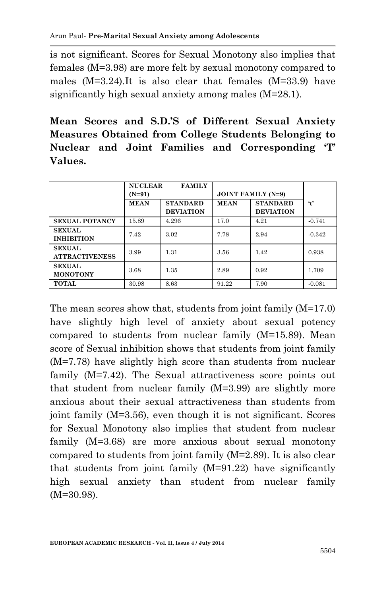is not significant. Scores for Sexual Monotony also implies that females (M=3.98) are more felt by sexual monotony compared to males (M=3.24).It is also clear that females (M=33.9) have significantly high sexual anxiety among males (M=28.1).

**Mean Scores and S.D.'S of Different Sexual Anxiety Measures Obtained from College Students Belonging to Nuclear and Joint Families and Corresponding 'T' Values.**

|                                        | <b>NUCLEAR</b><br>$(N=91)$ | <b>FAMILY</b><br><b>JOINT FAMILY (N=9)</b> |             |                                     |                     |
|----------------------------------------|----------------------------|--------------------------------------------|-------------|-------------------------------------|---------------------|
|                                        | <b>MEAN</b>                | <b>STANDARD</b><br><b>DEVIATION</b>        | <b>MEAN</b> | <b>STANDARD</b><br><b>DEVIATION</b> | $\ddot{\mathbf{r}}$ |
| <b>SEXUAL POTANCY</b>                  | 15.89                      | 4.296                                      | 17.0        | 4.21                                | $-0.741$            |
| <b>SEXUAL</b><br><b>INHIBITION</b>     | 7.42                       | 3.02                                       | 7.78        | 2.94                                | $-0.342$            |
| <b>SEXUAL</b><br><b>ATTRACTIVENESS</b> | 3.99                       | 1.31                                       | 3.56        | 1.42                                | 0.938               |
| <b>SEXUAL</b><br><b>MONOTONY</b>       | 3.68                       | 1.35                                       | 2.89        | 0.92                                | 1.709               |
| <b>TOTAL</b>                           | 30.98                      | 8.63                                       | 91.22       | 7.90                                | $-0.081$            |

The mean scores show that, students from joint family (M=17.0) have slightly high level of anxiety about sexual potency compared to students from nuclear family (M=15.89). Mean score of Sexual inhibition shows that students from joint family (M=7.78) have slightly high score than students from nuclear family (M=7.42). The Sexual attractiveness score points out that student from nuclear family (M=3.99) are slightly more anxious about their sexual attractiveness than students from joint family (M=3.56), even though it is not significant. Scores for Sexual Monotony also implies that student from nuclear family (M=3.68) are more anxious about sexual monotony compared to students from joint family (M=2.89). It is also clear that students from joint family (M=91.22) have significantly high sexual anxiety than student from nuclear family (M=30.98).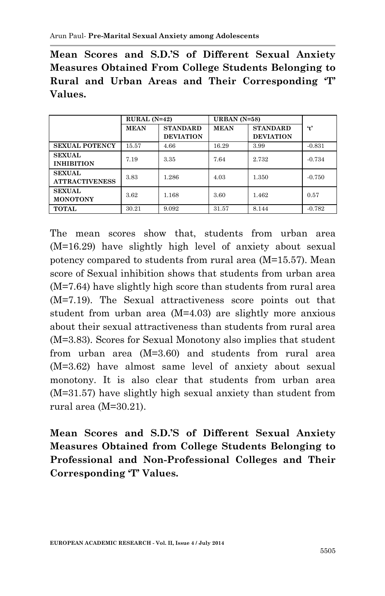**Mean Scores and S.D.'S of Different Sexual Anxiety Measures Obtained From College Students Belonging to Rural and Urban Areas and Their Corresponding 'T' Values.**

|                                        | $RURAL (N=42)$ |                                     | URBAN $(N=58)$ |                                     |                     |
|----------------------------------------|----------------|-------------------------------------|----------------|-------------------------------------|---------------------|
|                                        | <b>MEAN</b>    | <b>STANDARD</b><br><b>DEVIATION</b> | <b>MEAN</b>    | <b>STANDARD</b><br><b>DEVIATION</b> | $\ddot{\mathbf{t}}$ |
| <b>SEXUAL POTENCY</b>                  | 15.57          | 4.66                                | 16.29          | 3.99                                | $-0.831$            |
| <b>SEXUAL</b><br><b>INHIBITION</b>     | 7.19           | 3.35                                | 7.64           | 2.732                               | $-0.734$            |
| <b>SEXUAL</b><br><b>ATTRACTIVENESS</b> | 3.83           | 1.286                               | 4.03           | 1.350                               | $-0.750$            |
| <b>SEXUAL</b><br><b>MONOTONY</b>       | 3.62           | 1.168                               | 3.60           | 1.462                               | 0.57                |
| <b>TOTAL</b>                           | 30.21          | 9.092                               | 31.57          | 8.144                               | $-0.782$            |

The mean scores show that, students from urban area (M=16.29) have slightly high level of anxiety about sexual potency compared to students from rural area (M=15.57). Mean score of Sexual inhibition shows that students from urban area (M=7.64) have slightly high score than students from rural area (M=7.19). The Sexual attractiveness score points out that student from urban area (M=4.03) are slightly more anxious about their sexual attractiveness than students from rural area (M=3.83). Scores for Sexual Monotony also implies that student from urban area (M=3.60) and students from rural area (M=3.62) have almost same level of anxiety about sexual monotony. It is also clear that students from urban area (M=31.57) have slightly high sexual anxiety than student from rural area (M=30.21).

**Mean Scores and S.D.'S of Different Sexual Anxiety Measures Obtained from College Students Belonging to Professional and Non-Professional Colleges and Their Corresponding 'T' Values.**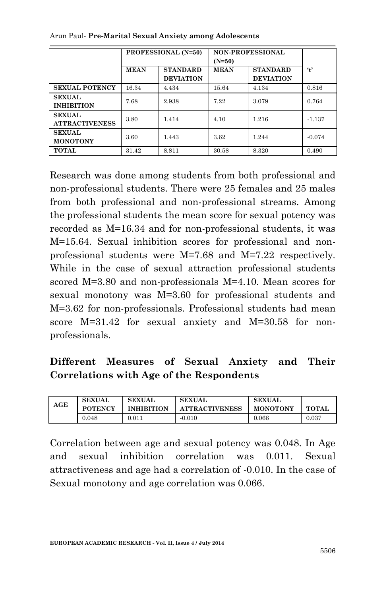|                                        |             | <b>PROFESSIONAL (N=50)</b>          | $(N=50)$    | <b>NON-PROFESSIONAL</b>             |                     |  |
|----------------------------------------|-------------|-------------------------------------|-------------|-------------------------------------|---------------------|--|
|                                        | <b>MEAN</b> | <b>STANDARD</b><br><b>DEVIATION</b> | <b>MEAN</b> | <b>STANDARD</b><br><b>DEVIATION</b> | $\ddot{\mathbf{t}}$ |  |
| <b>SEXUAL POTENCY</b>                  | 16.34       | 4.434                               | 15.64       | 4.134                               | 0.816               |  |
| <b>SEXUAL</b><br><b>INHIBITION</b>     | 7.68        | 2.938                               | 7.22        | 3.079                               | 0.764               |  |
| <b>SEXUAL</b><br><b>ATTRACTIVENESS</b> | 3.80        | 1.414                               | 4.10        | 1.216                               | $-1.137$            |  |
| <b>SEXUAL</b><br><b>MONOTONY</b>       | 3.60        | 1.443                               | 3.62        | 1.244                               | $-0.074$            |  |
| <b>TOTAL</b>                           | 31.42       | 8.811                               | 30.58       | 8.320                               | 0.490               |  |

Arun Paul*-* **Pre-Marital Sexual Anxiety among Adolescents**

Research was done among students from both professional and non-professional students. There were 25 females and 25 males from both professional and non-professional streams. Among the professional students the mean score for sexual potency was recorded as M=16.34 and for non-professional students, it was M=15.64. Sexual inhibition scores for professional and nonprofessional students were M=7.68 and M=7.22 respectively. While in the case of sexual attraction professional students scored M=3.80 and non-professionals M=4.10. Mean scores for sexual monotony was M=3.60 for professional students and M=3.62 for non-professionals. Professional students had mean score M=31.42 for sexual anxiety and M=30.58 for nonprofessionals.

# **Different Measures of Sexual Anxiety and Their Correlations with Age of the Respondents**

| AGE | <b>SEXUAL</b><br><b>POTENCY</b> | SEXUAL<br><b>INHIBITION</b> | <b>SEXUAL</b><br><b>ATTRACTIVENESS</b> | SEXUAL<br><b>MONOTONY</b> | <b>TOTAL</b> |
|-----|---------------------------------|-----------------------------|----------------------------------------|---------------------------|--------------|
|     | 0.048                           | 0.011                       | $-0.010$                               | $0.066\,$                 | $_{0.037}$   |

Correlation between age and sexual potency was 0.048. In Age and sexual inhibition correlation was 0.011. Sexual attractiveness and age had a correlation of -0.010. In the case of Sexual monotony and age correlation was 0.066.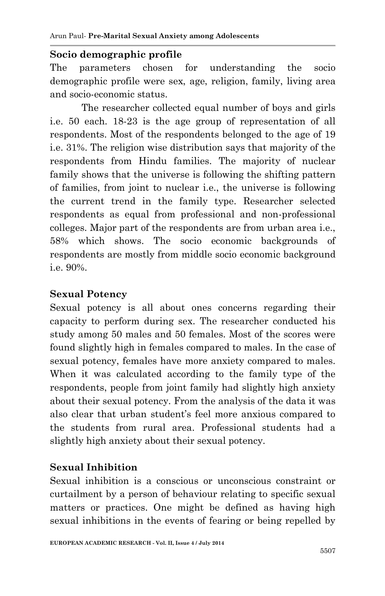#### **Socio demographic profile**

The parameters chosen for understanding the socio demographic profile were sex, age, religion, family, living area and socio-economic status.

The researcher collected equal number of boys and girls i.e. 50 each. 18-23 is the age group of representation of all respondents. Most of the respondents belonged to the age of 19 i.e. 31%. The religion wise distribution says that majority of the respondents from Hindu families. The majority of nuclear family shows that the universe is following the shifting pattern of families, from joint to nuclear i.e., the universe is following the current trend in the family type. Researcher selected respondents as equal from professional and non-professional colleges. Major part of the respondents are from urban area i.e., 58% which shows. The socio economic backgrounds of respondents are mostly from middle socio economic background i.e. 90%.

### **Sexual Potency**

Sexual potency is all about ones concerns regarding their capacity to perform during sex. The researcher conducted his study among 50 males and 50 females. Most of the scores were found slightly high in females compared to males. In the case of sexual potency, females have more anxiety compared to males. When it was calculated according to the family type of the respondents, people from joint family had slightly high anxiety about their sexual potency. From the analysis of the data it was also clear that urban student's feel more anxious compared to the students from rural area. Professional students had a slightly high anxiety about their sexual potency.

## **Sexual Inhibition**

Sexual inhibition is a conscious or unconscious constraint or curtailment by a person of behaviour relating to specific sexual matters or practices. One might be defined as having high sexual inhibitions in the events of fearing or being repelled by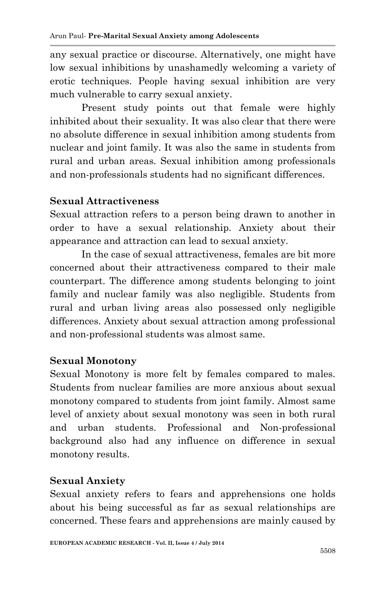any sexual practice or discourse. Alternatively, one might have low sexual inhibitions by unashamedly welcoming a variety of erotic techniques. People having sexual inhibition are very much vulnerable to carry sexual anxiety.

Present study points out that female were highly inhibited about their sexuality. It was also clear that there were no absolute difference in sexual inhibition among students from nuclear and joint family. It was also the same in students from rural and urban areas. Sexual inhibition among professionals and non-professionals students had no significant differences.

### **Sexual Attractiveness**

Sexual attraction refers to a person being drawn to another in order to have a sexual relationship. Anxiety about their appearance and attraction can lead to sexual anxiety.

In the case of sexual attractiveness, females are bit more concerned about their attractiveness compared to their male counterpart. The difference among students belonging to joint family and nuclear family was also negligible. Students from rural and urban living areas also possessed only negligible differences. Anxiety about sexual attraction among professional and non-professional students was almost same.

#### **Sexual Monotony**

Sexual Monotony is more felt by females compared to males. Students from nuclear families are more anxious about sexual monotony compared to students from joint family. Almost same level of anxiety about sexual monotony was seen in both rural and urban students. Professional and Non-professional background also had any influence on difference in sexual monotony results.

### **Sexual Anxiety**

Sexual anxiety refers to fears and apprehensions one holds about his being successful as far as sexual relationships are concerned. These fears and apprehensions are mainly caused by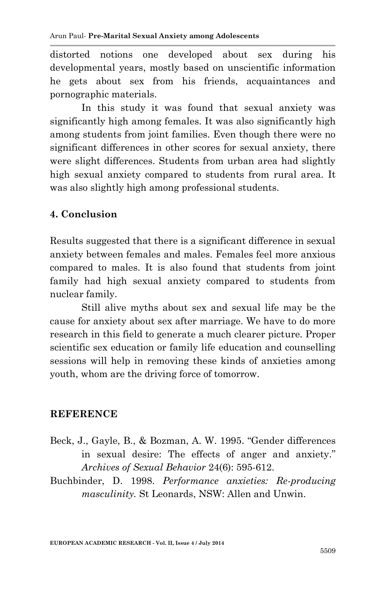distorted notions one developed about sex during his developmental years, mostly based on unscientific information he gets about sex from his friends, acquaintances and pornographic materials.

In this study it was found that sexual anxiety was significantly high among females. It was also significantly high among students from joint families. Even though there were no significant differences in other scores for sexual anxiety, there were slight differences. Students from urban area had slightly high sexual anxiety compared to students from rural area. It was also slightly high among professional students.

### **4. Conclusion**

Results suggested that there is a significant difference in sexual anxiety between females and males. Females feel more anxious compared to males. It is also found that students from joint family had high sexual anxiety compared to students from nuclear family.

Still alive myths about sex and sexual life may be the cause for anxiety about sex after marriage. We have to do more research in this field to generate a much clearer picture. Proper scientific sex education or family life education and counselling sessions will help in removing these kinds of anxieties among youth, whom are the driving force of tomorrow.

### **REFERENCE**

- Beck, J., Gayle, B., & Bozman, A. W. 1995. "Gender differences in sexual desire: The effects of anger and anxiety." *Archives of Sexual Behavior* 24(6): 595-612.
- Buchbinder, D. 1998. *Performance anxieties: Re-producing masculinity.* St Leonards, NSW: Allen and Unwin.